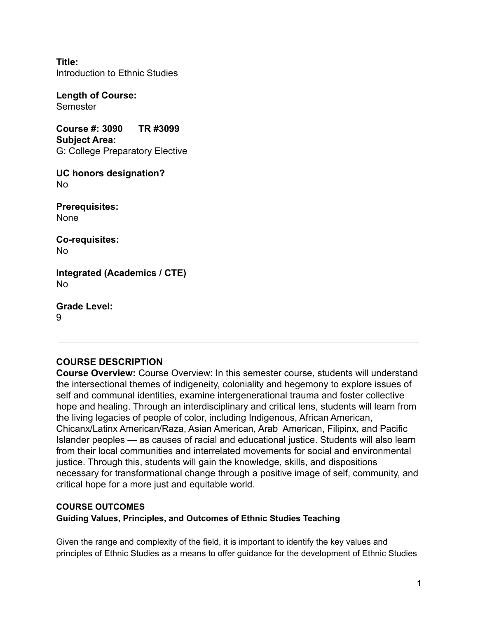**Title:** Introduction to Ethnic Studies

**Length of Course: Semester** 

**Course #: 3090 TR #3099 Subject Area:** G: College Preparatory Elective

**UC honors designation?** No

**Prerequisites:** None

**Co-requisites:** No

**Integrated (Academics / CTE)** No

**Grade Level:**  $\mathsf{Q}$ 

# **COURSE DESCRIPTION**

**Course Overview:** Course Overview: In this semester course, students will understand the intersectional themes of indigeneity, coloniality and hegemony to explore issues of self and communal identities, examine intergenerational trauma and foster collective hope and healing. Through an interdisciplinary and critical lens, students will learn from the living legacies of people of color, including Indigenous, African American, Chicanx/Latinx American/Raza, Asian American, Arab American, Filipinx, and Pacific Islander peoples — as causes of racial and educational justice. Students will also learn from their local communities and interrelated movements for social and environmental justice. Through this, students will gain the knowledge, skills, and dispositions necessary for transformational change through a positive image of self, community, and critical hope for a more just and equitable world.

# **COURSE OUTCOMES**

**Guiding Values, Principles, and Outcomes of Ethnic Studies Teaching**

Given the range and complexity of the field, it is important to identify the key values and principles of Ethnic Studies as a means to offer guidance for the development of Ethnic Studies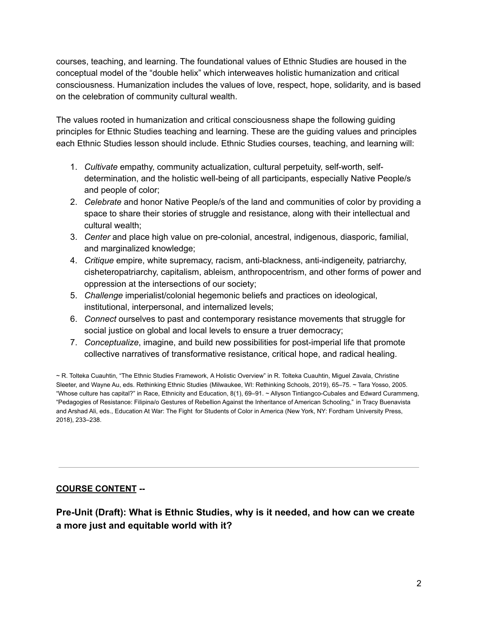courses, teaching, and learning. The foundational values of Ethnic Studies are housed in the conceptual model of the "double helix" which interweaves holistic humanization and critical consciousness. Humanization includes the values of love, respect, hope, solidarity, and is based on the celebration of community cultural wealth.

The values rooted in humanization and critical consciousness shape the following guiding principles for Ethnic Studies teaching and learning. These are the guiding values and principles each Ethnic Studies lesson should include. Ethnic Studies courses, teaching, and learning will:

- 1. *Cultivate* empathy, community actualization, cultural perpetuity, self-worth, selfdetermination, and the holistic well-being of all participants, especially Native People/s and people of color;
- 2. *Celebrate* and honor Native People/s of the land and communities of color by providing a space to share their stories of struggle and resistance, along with their intellectual and cultural wealth;
- 3. *Center* and place high value on pre-colonial, ancestral, indigenous, diasporic, familial, and marginalized knowledge;
- 4. *Critique* empire, white supremacy, racism, anti-blackness, anti-indigeneity, patriarchy, cisheteropatriarchy, capitalism, ableism, anthropocentrism, and other forms of power and oppression at the intersections of our society;
- 5. *Challenge* imperialist/colonial hegemonic beliefs and practices on ideological, institutional, interpersonal, and internalized levels;
- 6. *Connect* ourselves to past and contemporary resistance movements that struggle for social justice on global and local levels to ensure a truer democracy;
- 7. *Conceptualize*, imagine, and build new possibilities for post-imperial life that promote collective narratives of transformative resistance, critical hope, and radical healing.

~ R. Tolteka Cuauhtin, "The Ethnic Studies Framework, A Holistic Overview" in R. Tolteka Cuauhtin, Miguel Zavala, Christine Sleeter, and Wayne Au, eds. Rethinking Ethnic Studies (Milwaukee, WI: Rethinking Schools, 2019), 65–75. ~ Tara Yosso, 2005. "Whose culture has capital?" in Race, Ethnicity and Education, 8(1), 69–91. ~ Allyson Tintiangco-Cubales and Edward Curammeng, "Pedagogies of Resistance: Filipina/o Gestures of Rebellion Against the Inheritance of American Schooling," in Tracy Buenavista and Arshad Ali, eds., Education At War: The Fight for Students of Color in America (New York, NY: Fordham University Press, 2018), 233–238.

# **COURSE CONTENT --**

# **Pre-Unit (Draft): What is Ethnic Studies, why is it needed, and how can we create a more just and equitable world with it?**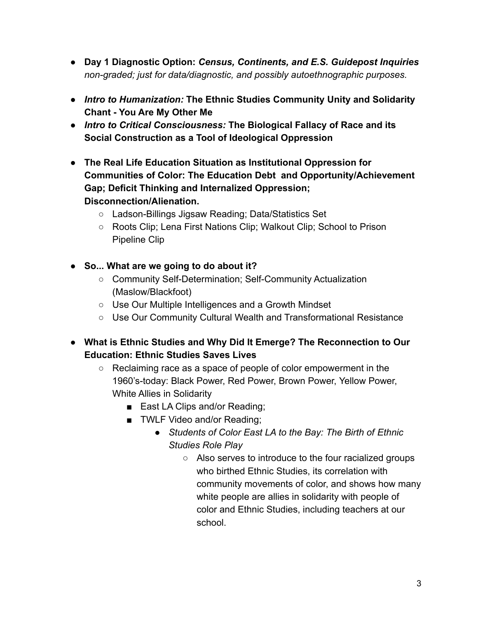- **● Day 1 Diagnostic Option:** *Census, Continents, and E.S. Guidepost Inquiries non-graded; just for data/diagnostic, and possibly autoethnographic purposes.*
- **●** *Intro to Humanization:* **The Ethnic Studies Community Unity and Solidarity Chant - You Are My Other Me**
- *● Intro to Critical Consciousness:* **The Biological Fallacy of Race and its Social Construction as a Tool of Ideological Oppression**
- **● The Real Life Education Situation as Institutional Oppression for Communities of Color: The Education Debt and Opportunity/Achievement Gap; Deficit Thinking and Internalized Oppression; Disconnection/Alienation.**
	- Ladson-Billings Jigsaw Reading; Data/Statistics Set
	- Roots Clip; Lena First Nations Clip; Walkout Clip; School to Prison Pipeline Clip
- **● So... What are we going to do about it?**
	- Community Self-Determination; Self-Community Actualization (Maslow/Blackfoot)
	- Use Our Multiple Intelligences and a Growth Mindset
	- Use Our Community Cultural Wealth and Transformational Resistance
- **● What is Ethnic Studies and Why Did It Emerge? The Reconnection to Our Education: Ethnic Studies Saves Lives**
	- Reclaiming race as a space of people of color empowerment in the 1960's-today: Black Power, Red Power, Brown Power, Yellow Power, White Allies in Solidarity
		- East LA Clips and/or Reading;
		- TWLF Video and/or Reading;
			- *Students of Color East LA to the Bay: The Birth of Ethnic Studies Role Play*
				- Also serves to introduce to the four racialized groups who birthed Ethnic Studies, its correlation with community movements of color, and shows how many white people are allies in solidarity with people of color and Ethnic Studies, including teachers at our school.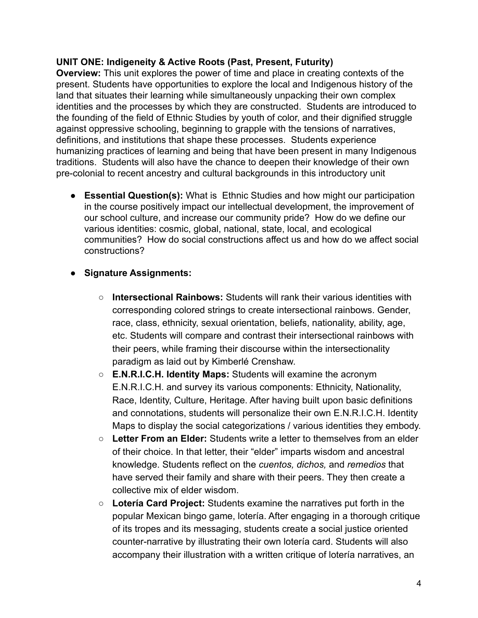### **UNIT ONE: Indigeneity & Active Roots (Past, Present, Futurity)**

**Overview:** This unit explores the power of time and place in creating contexts of the present. Students have opportunities to explore the local and Indigenous history of the land that situates their learning while simultaneously unpacking their own complex identities and the processes by which they are constructed. Students are introduced to the founding of the field of Ethnic Studies by youth of color, and their dignified struggle against oppressive schooling, beginning to grapple with the tensions of narratives, definitions, and institutions that shape these processes. Students experience humanizing practices of learning and being that have been present in many Indigenous traditions. Students will also have the chance to deepen their knowledge of their own pre-colonial to recent ancestry and cultural backgrounds in this introductory unit

**● Essential Question(s):** What is Ethnic Studies and how might our participation in the course positively impact our intellectual development, the improvement of our school culture, and increase our community pride? How do we define our various identities: cosmic, global, national, state, local, and ecological communities? How do social constructions affect us and how do we affect social constructions?

### **● Signature Assignments:**

- **○ Intersectional Rainbows:** Students will rank their various identities with corresponding colored strings to create intersectional rainbows. Gender, race, class, ethnicity, sexual orientation, beliefs, nationality, ability, age, etc. Students will compare and contrast their intersectional rainbows with their peers, while framing their discourse within the intersectionality paradigm as laid out by Kimberlé Crenshaw.
- **○ E.N.R.I.C.H. Identity Maps:** Students will examine the acronym E.N.R.I.C.H. and survey its various components: Ethnicity, Nationality, Race, Identity, Culture, Heritage. After having built upon basic definitions and connotations, students will personalize their own E.N.R.I.C.H. Identity Maps to display the social categorizations / various identities they embody.
- **○ Letter From an Elder:** Students write a letter to themselves from an elder of their choice. In that letter, their "elder" imparts wisdom and ancestral knowledge. Students reflect on the *cuentos, dichos,* and *remedios* that have served their family and share with their peers. They then create a collective mix of elder wisdom.
- **○ Lotería Card Project:** Students examine the narratives put forth in the popular Mexican bingo game, lotería. After engaging in a thorough critique of its tropes and its messaging, students create a social justice oriented counter-narrative by illustrating their own lotería card. Students will also accompany their illustration with a written critique of lotería narratives, an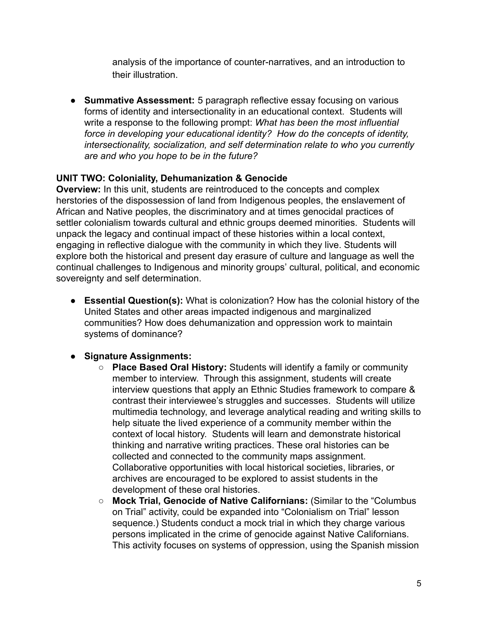analysis of the importance of counter-narratives, and an introduction to their illustration.

**● Summative Assessment:** 5 paragraph reflective essay focusing on various forms of identity and intersectionality in an educational context. Students will write a response to the following prompt: *What has been the most influential force in developing your educational identity? How do the concepts of identity, intersectionality, socialization, and self determination relate to who you currently are and who you hope to be in the future?*

# **UNIT TWO: Coloniality, Dehumanization & Genocide**

**Overview:** In this unit, students are reintroduced to the concepts and complex herstories of the dispossession of land from Indigenous peoples, the enslavement of African and Native peoples, the discriminatory and at times genocidal practices of settler colonialism towards cultural and ethnic groups deemed minorities. Students will unpack the legacy and continual impact of these histories within a local context, engaging in reflective dialogue with the community in which they live. Students will explore both the historical and present day erasure of culture and language as well the continual challenges to Indigenous and minority groups' cultural, political, and economic sovereignty and self determination.

**● Essential Question(s):** What is colonization? How has the colonial history of the United States and other areas impacted indigenous and marginalized communities? How does dehumanization and oppression work to maintain systems of dominance?

# **● Signature Assignments:**

- **○ Place Based Oral History:** Students will identify a family or community member to interview. Through this assignment, students will create interview questions that apply an Ethnic Studies framework to compare & contrast their interviewee's struggles and successes. Students will utilize multimedia technology, and leverage analytical reading and writing skills to help situate the lived experience of a community member within the context of local history. Students will learn and demonstrate historical thinking and narrative writing practices. These oral histories can be collected and connected to the community maps assignment. Collaborative opportunities with local historical societies, libraries, or archives are encouraged to be explored to assist students in the development of these oral histories.
- **○ Mock Trial, Genocide of Native Californians:** (Similar to the "Columbus on Trial" activity, could be expanded into "Colonialism on Trial" lesson sequence.) Students conduct a mock trial in which they charge various persons implicated in the crime of genocide against Native Californians. This activity focuses on systems of oppression, using the Spanish mission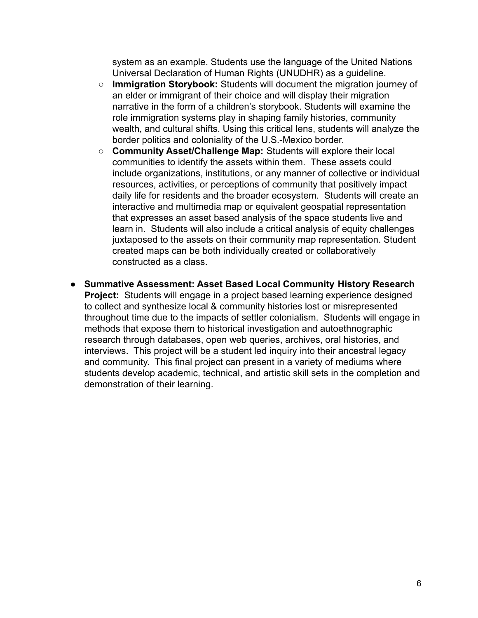system as an example. Students use the language of the United Nations Universal Declaration of Human Rights (UNUDHR) as a guideline.

- **○ Immigration Storybook:** Students will document the migration journey of an elder or immigrant of their choice and will display their migration narrative in the form of a children's storybook. Students will examine the role immigration systems play in shaping family histories, community wealth, and cultural shifts. Using this critical lens, students will analyze the border politics and coloniality of the U.S.-Mexico border.
- **○ Community Asset/Challenge Map:** Students will explore their local communities to identify the assets within them. These assets could include organizations, institutions, or any manner of collective or individual resources, activities, or perceptions of community that positively impact daily life for residents and the broader ecosystem. Students will create an interactive and multimedia map or equivalent geospatial representation that expresses an asset based analysis of the space students live and learn in. Students will also include a critical analysis of equity challenges juxtaposed to the assets on their community map representation. Student created maps can be both individually created or collaboratively constructed as a class.
- **● Summative Assessment: Asset Based Local Community History Research Project:** Students will engage in a project based learning experience designed to collect and synthesize local & community histories lost or misrepresented throughout time due to the impacts of settler colonialism. Students will engage in methods that expose them to historical investigation and autoethnographic research through databases, open web queries, archives, oral histories, and interviews. This project will be a student led inquiry into their ancestral legacy and community. This final project can present in a variety of mediums where students develop academic, technical, and artistic skill sets in the completion and demonstration of their learning.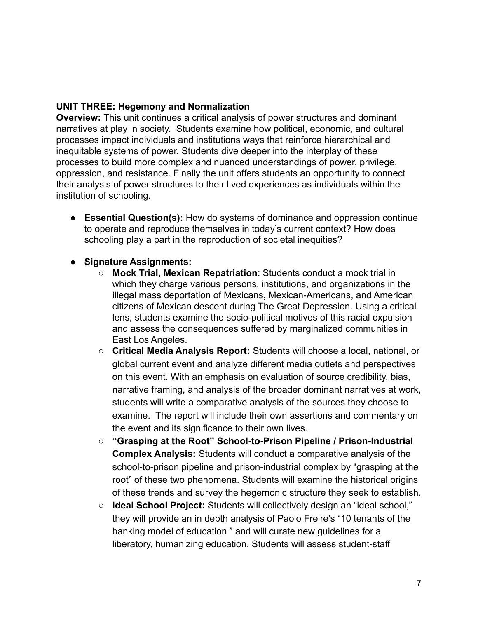### **UNIT THREE: Hegemony and Normalization**

**Overview:** This unit continues a critical analysis of power structures and dominant narratives at play in society. Students examine how political, economic, and cultural processes impact individuals and institutions ways that reinforce hierarchical and inequitable systems of power. Students dive deeper into the interplay of these processes to build more complex and nuanced understandings of power, privilege, oppression, and resistance. Finally the unit offers students an opportunity to connect their analysis of power structures to their lived experiences as individuals within the institution of schooling.

**● Essential Question(s):** How do systems of dominance and oppression continue to operate and reproduce themselves in today's current context? How does schooling play a part in the reproduction of societal inequities?

#### **● Signature Assignments:**

- **○ Mock Trial, Mexican Repatriation**: Students conduct a mock trial in which they charge various persons, institutions, and organizations in the illegal mass deportation of Mexicans, Mexican-Americans, and American citizens of Mexican descent during The Great Depression. Using a critical lens, students examine the socio-political motives of this racial expulsion and assess the consequences suffered by marginalized communities in East Los Angeles.
- **Critical Media Analysis Report:** Students will choose a local, national, or global current event and analyze different media outlets and perspectives on this event. With an emphasis on evaluation of source credibility, bias, narrative framing, and analysis of the broader dominant narratives at work, students will write a comparative analysis of the sources they choose to examine. The report will include their own assertions and commentary on the event and its significance to their own lives.
- **○ "Grasping at the Root" School-to-Prison Pipeline / Prison-Industrial Complex Analysis:** Students will conduct a comparative analysis of the school-to-prison pipeline and prison-industrial complex by "grasping at the root" of these two phenomena. Students will examine the historical origins of these trends and survey the hegemonic structure they seek to establish.
- **Ideal School Project:** Students will collectively design an "ideal school," they will provide an in depth analysis of Paolo Freire's "10 tenants of the banking model of education " and will curate new guidelines for a liberatory, humanizing education. Students will assess student-staff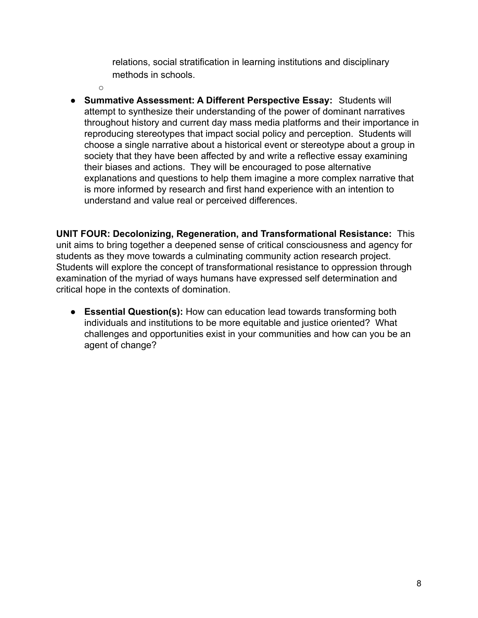relations, social stratification in learning institutions and disciplinary methods in schools.

 $\cap$ 

**● Summative Assessment: A Different Perspective Essay:** Students will attempt to synthesize their understanding of the power of dominant narratives throughout history and current day mass media platforms and their importance in reproducing stereotypes that impact social policy and perception. Students will choose a single narrative about a historical event or stereotype about a group in society that they have been affected by and write a reflective essay examining their biases and actions. They will be encouraged to pose alternative explanations and questions to help them imagine a more complex narrative that is more informed by research and first hand experience with an intention to understand and value real or perceived differences.

**UNIT FOUR: Decolonizing, Regeneration, and Transformational Resistance:** This unit aims to bring together a deepened sense of critical consciousness and agency for students as they move towards a culminating community action research project. Students will explore the concept of transformational resistance to oppression through examination of the myriad of ways humans have expressed self determination and critical hope in the contexts of domination.

**● Essential Question(s):** How can education lead towards transforming both individuals and institutions to be more equitable and justice oriented? What challenges and opportunities exist in your communities and how can you be an agent of change?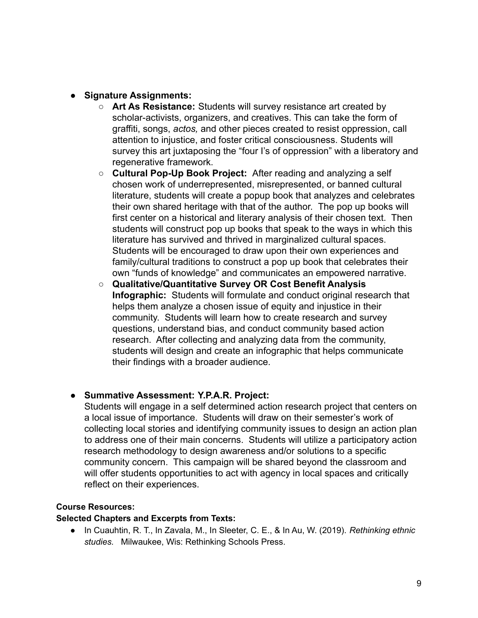- **● Signature Assignments:**
	- **○ Art As Resistance:** Students will survey resistance art created by scholar-activists, organizers, and creatives. This can take the form of graffiti, songs, *actos,* and other pieces created to resist oppression, call attention to injustice, and foster critical consciousness. Students will survey this art juxtaposing the "four I's of oppression" with a liberatory and regenerative framework.
	- **○ Cultural Pop-Up Book Project:** After reading and analyzing a self chosen work of underrepresented, misrepresented, or banned cultural literature, students will create a popup book that analyzes and celebrates their own shared heritage with that of the author. The pop up books will first center on a historical and literary analysis of their chosen text. Then students will construct pop up books that speak to the ways in which this literature has survived and thrived in marginalized cultural spaces. Students will be encouraged to draw upon their own experiences and family/cultural traditions to construct a pop up book that celebrates their own "funds of knowledge" and communicates an empowered narrative.
	- **○ Qualitative/Quantitative Survey OR Cost Benefit Analysis Infographic:** Students will formulate and conduct original research that helps them analyze a chosen issue of equity and injustice in their community. Students will learn how to create research and survey questions, understand bias, and conduct community based action research. After collecting and analyzing data from the community, students will design and create an infographic that helps communicate their findings with a broader audience.

#### **● Summative Assessment: Y.P.A.R. Project:**

Students will engage in a self determined action research project that centers on a local issue of importance. Students will draw on their semester's work of collecting local stories and identifying community issues to design an action plan to address one of their main concerns. Students will utilize a participatory action research methodology to design awareness and/or solutions to a specific community concern. This campaign will be shared beyond the classroom and will offer students opportunities to act with agency in local spaces and critically reflect on their experiences.

#### **Course Resources:**

#### **Selected Chapters and Excerpts from Texts:**

*●* In Cuauhtin, R. T., In Zavala, M., In Sleeter, C. E., & In Au, W. (2019). *Rethinking ethnic studies.* Milwaukee, Wis: Rethinking Schools Press.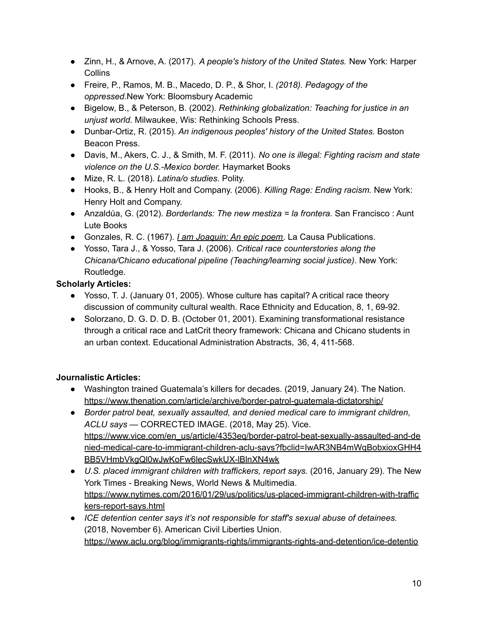- *●* Zinn, H., & Arnove, A. (2017). *A people's history of the United States.* New York: Harper **Collins**
- *●* Freire, P., Ramos, M. B., Macedo, D. P., & Shor, I. *(2018). Pedagogy of the oppressed.*New York: Bloomsbury Academic
- *●* Bigelow, B., & Peterson, B. (2002). *Rethinking globalization: Teaching for justice in an unjust world.* Milwaukee, Wis: Rethinking Schools Press.
- *●* Dunbar-Ortiz, R. (2015)*. An indigenous peoples' history of the United States.* Boston Beacon Press.
- *●* Davis, M., Akers, C. J., & Smith, M. F. (2011). *No one is illegal: Fighting racism and state violence on the U.S.-Mexico border.* Haymarket Books
- Mize, R. L. (2018). *Latina/o studies*. Polity.
- Hooks, B., & Henry Holt and Company. (2006). *Killing Rage: Ending racism.* New York: Henry Holt and Company.
- Anzaldúa, G. (2012). *Borderlands: The new mestiza = la frontera.* San Francisco : Aunt Lute Books
- Gonzales, R. C. (1967). *I am [Joaquin:](http://www.latinamericanstudies.org/latinos/joaquin.htm) An epic poem*. La Causa Publications.
- Yosso, Tara J., & Yosso, Tara J. (2006). *Critical race counterstories along the Chicana/Chicano educational pipeline (Teaching/learning social justice)*. New York: Routledge.

# **Scholarly Articles:**

- Yosso, T. J. (January 01, 2005). Whose culture has capital? A critical race theory discussion of community cultural wealth. Race Ethnicity and Education, 8, 1, 69-92.
- Solorzano, D. G. D. D. B. (October 01, 2001). Examining transformational resistance through a critical race and LatCrit theory framework: Chicana and Chicano students in an urban context. Educational Administration Abstracts, 36, 4, 411-568.

# **Journalistic Articles:**

- Washington trained Guatemala's killers for decades. (2019, January 24). The Nation. <https://www.thenation.com/article/archive/border-patrol-guatemala-dictatorship/>
- *Border patrol beat, sexually assaulted, and denied medical care to immigrant children, ACLU says* — CORRECTED IMAGE. (2018, May 25). Vice. [https://www.vice.com/en\\_us/article/4353eq/border-patrol-beat-sexually-assaulted-and-de](https://www.vice.com/en_us/article/4353eq/border-patrol-beat-sexually-assaulted-and-denied-medical-care-to-immigrant-children-aclu-says?fbclid=IwAR3NB4mWqBobxioxGHH4BB5VHmbVkgQl0wJwKoFw6lecSwkUX-lBlnXN4wk) [nied-medical-care-to-immigrant-children-aclu-says?fbclid=IwAR3NB4mWqBobxioxGHH4](https://www.vice.com/en_us/article/4353eq/border-patrol-beat-sexually-assaulted-and-denied-medical-care-to-immigrant-children-aclu-says?fbclid=IwAR3NB4mWqBobxioxGHH4BB5VHmbVkgQl0wJwKoFw6lecSwkUX-lBlnXN4wk) [BB5VHmbVkgQl0wJwKoFw6lecSwkUX-lBlnXN4wk](https://www.vice.com/en_us/article/4353eq/border-patrol-beat-sexually-assaulted-and-denied-medical-care-to-immigrant-children-aclu-says?fbclid=IwAR3NB4mWqBobxioxGHH4BB5VHmbVkgQl0wJwKoFw6lecSwkUX-lBlnXN4wk)
- *U.S. placed immigrant children with traffickers, report says.* (2016, January 29). The New York Times - Breaking News, World News & Multimedia. [https://www.nytimes.com/2016/01/29/us/politics/us-placed-immigrant-children-with-traffic](https://www.nytimes.com/2016/01/29/us/politics/us-placed-immigrant-children-with-traffickers-report-says.html) [kers-report-says.html](https://www.nytimes.com/2016/01/29/us/politics/us-placed-immigrant-children-with-traffickers-report-says.html)
- *ICE detention center says it's not responsible for staff's sexual abuse of detainees.* (2018, November 6). American Civil Liberties Union. [https://www.aclu.org/blog/immigrants-rights/immigrants-rights-and-detention/ice-detentio](https://www.aclu.org/blog/immigrants-rights/immigrants-rights-and-detention/ice-detention-center-says-its-not-responsible?fbclid=IwAR3-5W9HSQMM4wyvopEbK2_TX73p2ccclmdVCdvPyU4qcBErVpr4F58Nqv4)